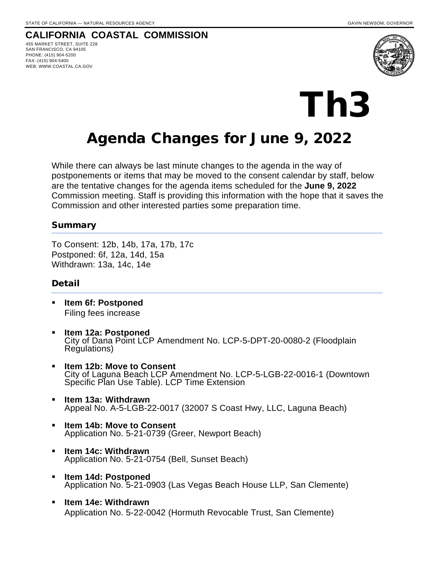**CALIFORNIA COASTAL COMMISSION**

455 MARKET STREET, SUITE 228 SAN FRANCISCO, CA 94105 PHONE: (415) 904-5200 FAX: (415) 904-5400 WEB: WWW.COASTAL.CA.GOV





## Agenda Changes for June 9, 2022

While there can always be last minute changes to the agenda in the way of postponements or items that may be moved to the consent calendar by staff, below are the tentative changes for the agenda items scheduled for the **June 9, 2022** Commission meeting. Staff is providing this information with the hope that it saves the Commission and other interested parties some preparation time.

## Summary

To Consent: 12b, 14b, 17a, 17b, 17c Postponed: 6f, 12a, 14d, 15a Withdrawn: 13a, 14c, 14e

## Detail

- **Item 6f: Postponed** Filing fees increase
- **Item 12a: Postponed** City of Dana Point LCP Amendment No. LCP-5-DPT-20-0080-2 (Floodplain Regulations)
- **Item 12b: Move to Consent** City of Laguna Beach LCP Amendment No. LCP-5-LGB-22-0016-1 (Downtown Specific Plan Use Table). LCP Time Extension
- **Item 13a: Withdrawn** Appeal No. A-5-LGB-22-0017 (32007 S Coast Hwy, LLC, Laguna Beach)
- **Item 14b: Move to Consent** Application No. 5-21-0739 (Greer, Newport Beach)
- **Item 14c: Withdrawn** Application No. 5-21-0754 (Bell, Sunset Beach)
- **Item 14d: Postponed** Application No. 5-21-0903 (Las Vegas Beach House LLP, San Clemente)
- **Item 14e: Withdrawn** Application No. 5-22-0042 (Hormuth Revocable Trust, San Clemente)